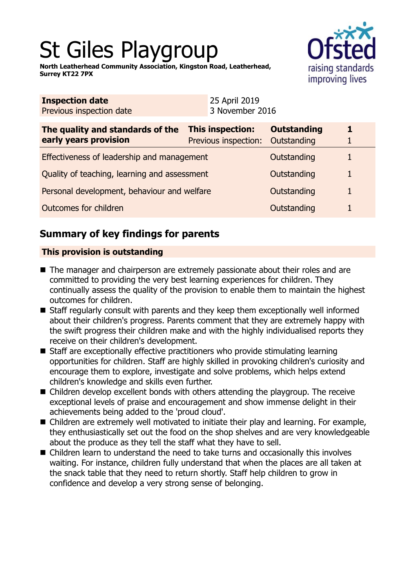# St Giles Playgroup

**North Leatherhead Community Association, Kingston Road, Leatherhead, Surrey KT22 7PX**



| <b>Inspection date</b><br>Previous inspection date        |  | 25 April 2019<br>3 November 2016                |                                   |   |
|-----------------------------------------------------------|--|-------------------------------------------------|-----------------------------------|---|
| The quality and standards of the<br>early years provision |  | <b>This inspection:</b><br>Previous inspection: | <b>Outstanding</b><br>Outstanding | 1 |
| Effectiveness of leadership and management                |  |                                                 | Outstanding                       |   |
| Quality of teaching, learning and assessment              |  |                                                 | Outstanding                       | 1 |
| Personal development, behaviour and welfare               |  |                                                 | Outstanding                       | 1 |
| Outcomes for children                                     |  |                                                 | Outstanding                       |   |

## **Summary of key findings for parents**

## **This provision is outstanding**

- The manager and chairperson are extremely passionate about their roles and are committed to providing the very best learning experiences for children. They continually assess the quality of the provision to enable them to maintain the highest outcomes for children.
- $\blacksquare$  Staff regularly consult with parents and they keep them exceptionally well informed about their children's progress. Parents comment that they are extremely happy with the swift progress their children make and with the highly individualised reports they receive on their children's development.
- $\blacksquare$  Staff are exceptionally effective practitioners who provide stimulating learning opportunities for children. Staff are highly skilled in provoking children's curiosity and encourage them to explore, investigate and solve problems, which helps extend children's knowledge and skills even further.
- Children develop excellent bonds with others attending the playgroup. The receive exceptional levels of praise and encouragement and show immense delight in their achievements being added to the 'proud cloud'.
- Children are extremely well motivated to initiate their play and learning. For example, they enthusiastically set out the food on the shop shelves and are very knowledgeable about the produce as they tell the staff what they have to sell.
- Children learn to understand the need to take turns and occasionally this involves waiting. For instance, children fully understand that when the places are all taken at the snack table that they need to return shortly. Staff help children to grow in confidence and develop a very strong sense of belonging.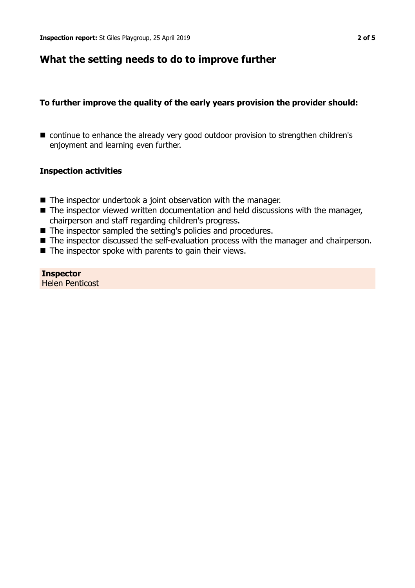## **What the setting needs to do to improve further**

#### **To further improve the quality of the early years provision the provider should:**

■ continue to enhance the already very good outdoor provision to strengthen children's enjoyment and learning even further.

#### **Inspection activities**

- $\blacksquare$  The inspector undertook a joint observation with the manager.
- $\blacksquare$  The inspector viewed written documentation and held discussions with the manager, chairperson and staff regarding children's progress.
- The inspector sampled the setting's policies and procedures.
- The inspector discussed the self-evaluation process with the manager and chairperson.
- $\blacksquare$  The inspector spoke with parents to gain their views.

#### **Inspector** Helen Penticost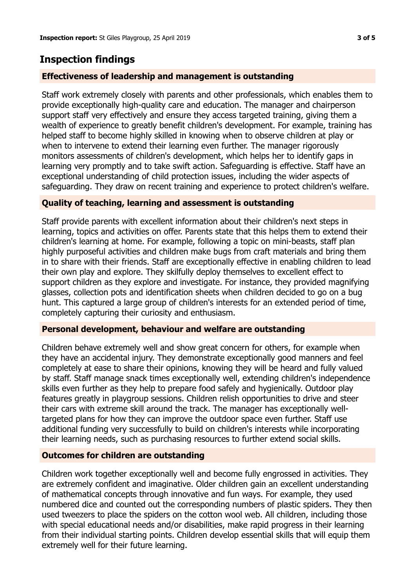## **Inspection findings**

## **Effectiveness of leadership and management is outstanding**

Staff work extremely closely with parents and other professionals, which enables them to provide exceptionally high-quality care and education. The manager and chairperson support staff very effectively and ensure they access targeted training, giving them a wealth of experience to greatly benefit children's development. For example, training has helped staff to become highly skilled in knowing when to observe children at play or when to intervene to extend their learning even further. The manager rigorously monitors assessments of children's development, which helps her to identify gaps in learning very promptly and to take swift action. Safeguarding is effective. Staff have an exceptional understanding of child protection issues, including the wider aspects of safeguarding. They draw on recent training and experience to protect children's welfare.

## **Quality of teaching, learning and assessment is outstanding**

Staff provide parents with excellent information about their children's next steps in learning, topics and activities on offer. Parents state that this helps them to extend their children's learning at home. For example, following a topic on mini-beasts, staff plan highly purposeful activities and children make bugs from craft materials and bring them in to share with their friends. Staff are exceptionally effective in enabling children to lead their own play and explore. They skilfully deploy themselves to excellent effect to support children as they explore and investigate. For instance, they provided magnifying glasses, collection pots and identification sheets when children decided to go on a bug hunt. This captured a large group of children's interests for an extended period of time, completely capturing their curiosity and enthusiasm.

## **Personal development, behaviour and welfare are outstanding**

Children behave extremely well and show great concern for others, for example when they have an accidental injury. They demonstrate exceptionally good manners and feel completely at ease to share their opinions, knowing they will be heard and fully valued by staff. Staff manage snack times exceptionally well, extending children's independence skills even further as they help to prepare food safely and hygienically. Outdoor play features greatly in playgroup sessions. Children relish opportunities to drive and steer their cars with extreme skill around the track. The manager has exceptionally welltargeted plans for how they can improve the outdoor space even further. Staff use additional funding very successfully to build on children's interests while incorporating their learning needs, such as purchasing resources to further extend social skills.

## **Outcomes for children are outstanding**

Children work together exceptionally well and become fully engrossed in activities. They are extremely confident and imaginative. Older children gain an excellent understanding of mathematical concepts through innovative and fun ways. For example, they used numbered dice and counted out the corresponding numbers of plastic spiders. They then used tweezers to place the spiders on the cotton wool web. All children, including those with special educational needs and/or disabilities, make rapid progress in their learning from their individual starting points. Children develop essential skills that will equip them extremely well for their future learning.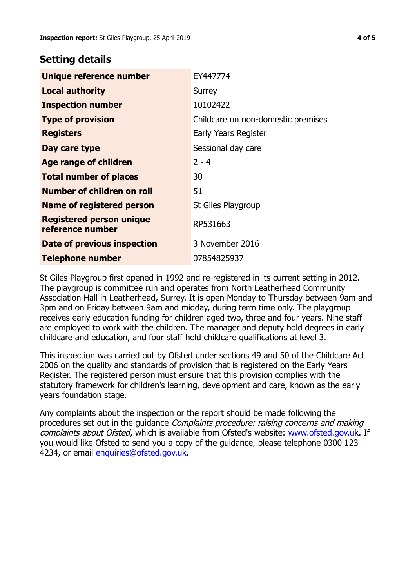## **Setting details**

| Unique reference number                             | EY447774                           |  |
|-----------------------------------------------------|------------------------------------|--|
| <b>Local authority</b>                              | Surrey                             |  |
| <b>Inspection number</b>                            | 10102422                           |  |
| <b>Type of provision</b>                            | Childcare on non-domestic premises |  |
| <b>Registers</b>                                    | Early Years Register               |  |
| Day care type                                       | Sessional day care                 |  |
| <b>Age range of children</b>                        | $2 - 4$                            |  |
| <b>Total number of places</b>                       | 30                                 |  |
| Number of children on roll                          | 51                                 |  |
| <b>Name of registered person</b>                    | St Giles Playgroup                 |  |
| <b>Registered person unique</b><br>reference number | RP531663                           |  |
| Date of previous inspection                         | 3 November 2016                    |  |
| <b>Telephone number</b>                             | 07854825937                        |  |

St Giles Playgroup first opened in 1992 and re-registered in its current setting in 2012. The playgroup is committee run and operates from North Leatherhead Community Association Hall in Leatherhead, Surrey. It is open Monday to Thursday between 9am and 3pm and on Friday between 9am and midday, during term time only. The playgroup receives early education funding for children aged two, three and four years. Nine staff are employed to work with the children. The manager and deputy hold degrees in early childcare and education, and four staff hold childcare qualifications at level 3.

This inspection was carried out by Ofsted under sections 49 and 50 of the Childcare Act 2006 on the quality and standards of provision that is registered on the Early Years Register. The registered person must ensure that this provision complies with the statutory framework for children's learning, development and care, known as the early years foundation stage.

Any complaints about the inspection or the report should be made following the procedures set out in the guidance Complaints procedure: raising concerns and making complaints about Ofsted, which is available from Ofsted's website: www.ofsted.gov.uk. If you would like Ofsted to send you a copy of the guidance, please telephone 0300 123 4234, or email [enquiries@ofsted.gov.uk.](mailto:enquiries@ofsted.gov.uk)